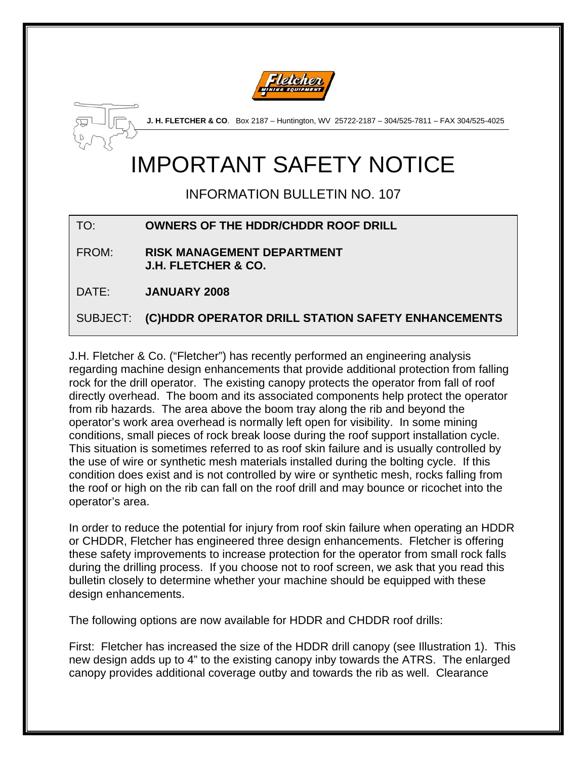



**J. H. FLETCHER & CO**. Box 2187 – Huntington, WV 25722-2187 – 304/525-7811 – FAX 304/525-4025

## IMPORTANT SAFETY NOTICE

INFORMATION BULLETIN NO. 107

## TO: **OWNERS OF THE HDDR/CHDDR ROOF DRILL**

FROM: **RISK MANAGEMENT DEPARTMENT J.H. FLETCHER & CO.** 

DATE: **JANUARY 2008** 

SUBJECT: **(C)HDDR OPERATOR DRILL STATION SAFETY ENHANCEMENTS** 

J.H. Fletcher & Co. ("Fletcher") has recently performed an engineering analysis regarding machine design enhancements that provide additional protection from falling rock for the drill operator. The existing canopy protects the operator from fall of roof directly overhead. The boom and its associated components help protect the operator from rib hazards. The area above the boom tray along the rib and beyond the operator's work area overhead is normally left open for visibility. In some mining conditions, small pieces of rock break loose during the roof support installation cycle. This situation is sometimes referred to as roof skin failure and is usually controlled by the use of wire or synthetic mesh materials installed during the bolting cycle. If this condition does exist and is not controlled by wire or synthetic mesh, rocks falling from the roof or high on the rib can fall on the roof drill and may bounce or ricochet into the operator's area.

In order to reduce the potential for injury from roof skin failure when operating an HDDR or CHDDR, Fletcher has engineered three design enhancements. Fletcher is offering these safety improvements to increase protection for the operator from small rock falls during the drilling process. If you choose not to roof screen, we ask that you read this bulletin closely to determine whether your machine should be equipped with these design enhancements.

The following options are now available for HDDR and CHDDR roof drills:

First: Fletcher has increased the size of the HDDR drill canopy (see Illustration 1). This new design adds up to 4" to the existing canopy inby towards the ATRS. The enlarged canopy provides additional coverage outby and towards the rib as well. Clearance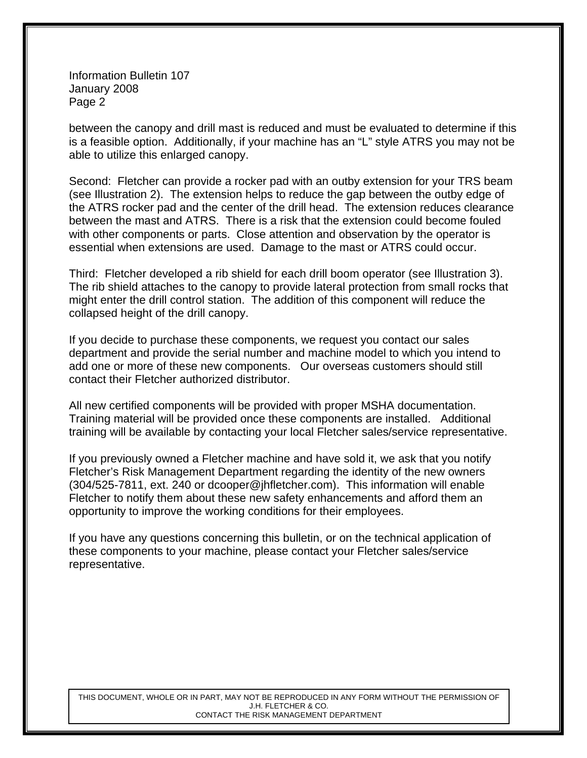Information Bulletin 107 January 2008 Page 2

between the canopy and drill mast is reduced and must be evaluated to determine if this is a feasible option. Additionally, if your machine has an "L" style ATRS you may not be able to utilize this enlarged canopy.

Second: Fletcher can provide a rocker pad with an outby extension for your TRS beam (see Illustration 2). The extension helps to reduce the gap between the outby edge of the ATRS rocker pad and the center of the drill head. The extension reduces clearance between the mast and ATRS. There is a risk that the extension could become fouled with other components or parts. Close attention and observation by the operator is essential when extensions are used. Damage to the mast or ATRS could occur.

Third: Fletcher developed a rib shield for each drill boom operator (see Illustration 3). The rib shield attaches to the canopy to provide lateral protection from small rocks that might enter the drill control station. The addition of this component will reduce the collapsed height of the drill canopy.

If you decide to purchase these components, we request you contact our sales department and provide the serial number and machine model to which you intend to add one or more of these new components. Our overseas customers should still contact their Fletcher authorized distributor.

All new certified components will be provided with proper MSHA documentation. Training material will be provided once these components are installed. Additional training will be available by contacting your local Fletcher sales/service representative.

If you previously owned a Fletcher machine and have sold it, we ask that you notify Fletcher's Risk Management Department regarding the identity of the new owners (304/525-7811, ext. 240 or dcooper@jhfletcher.com). This information will enable Fletcher to notify them about these new safety enhancements and afford them an opportunity to improve the working conditions for their employees.

If you have any questions concerning this bulletin, or on the technical application of these components to your machine, please contact your Fletcher sales/service representative.

THIS DOCUMENT, WHOLE OR IN PART, MAY NOT BE REPRODUCED IN ANY FORM WITHOUT THE PERMISSION OF J.H. FLETCHER & CO. CONTACT THE RISK MANAGEMENT DEPARTMENT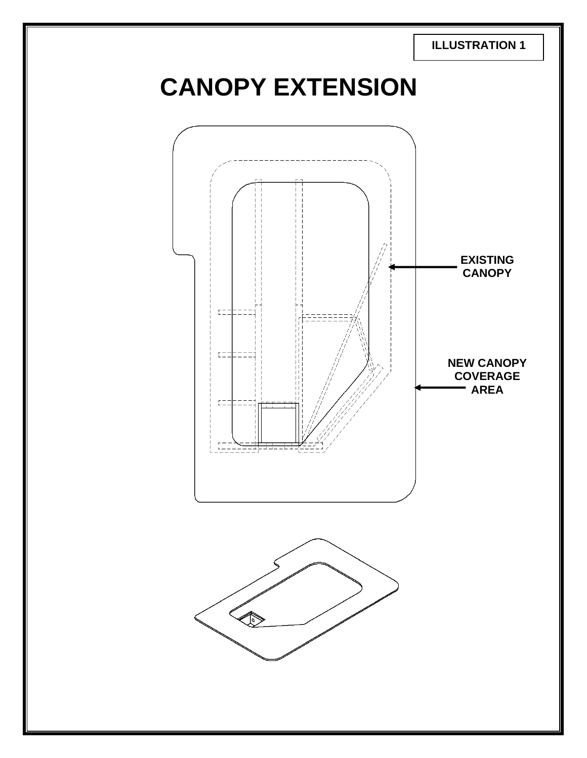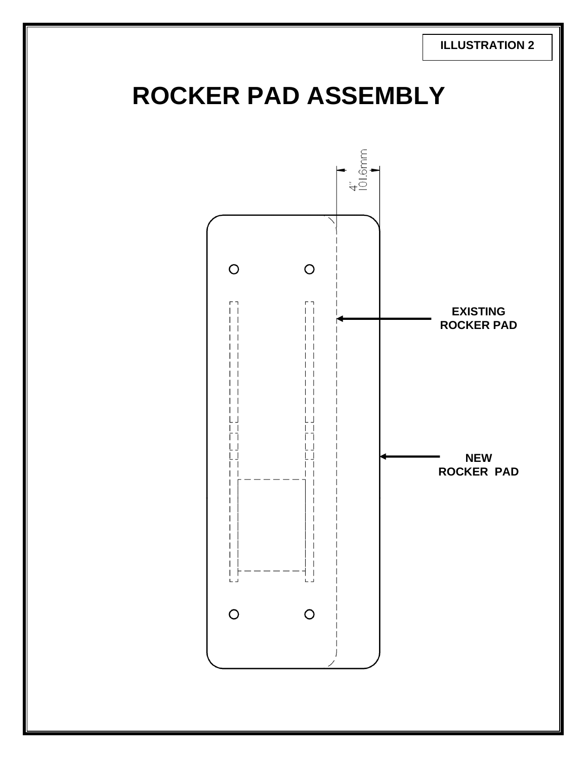**ILLUSTRATION 2**